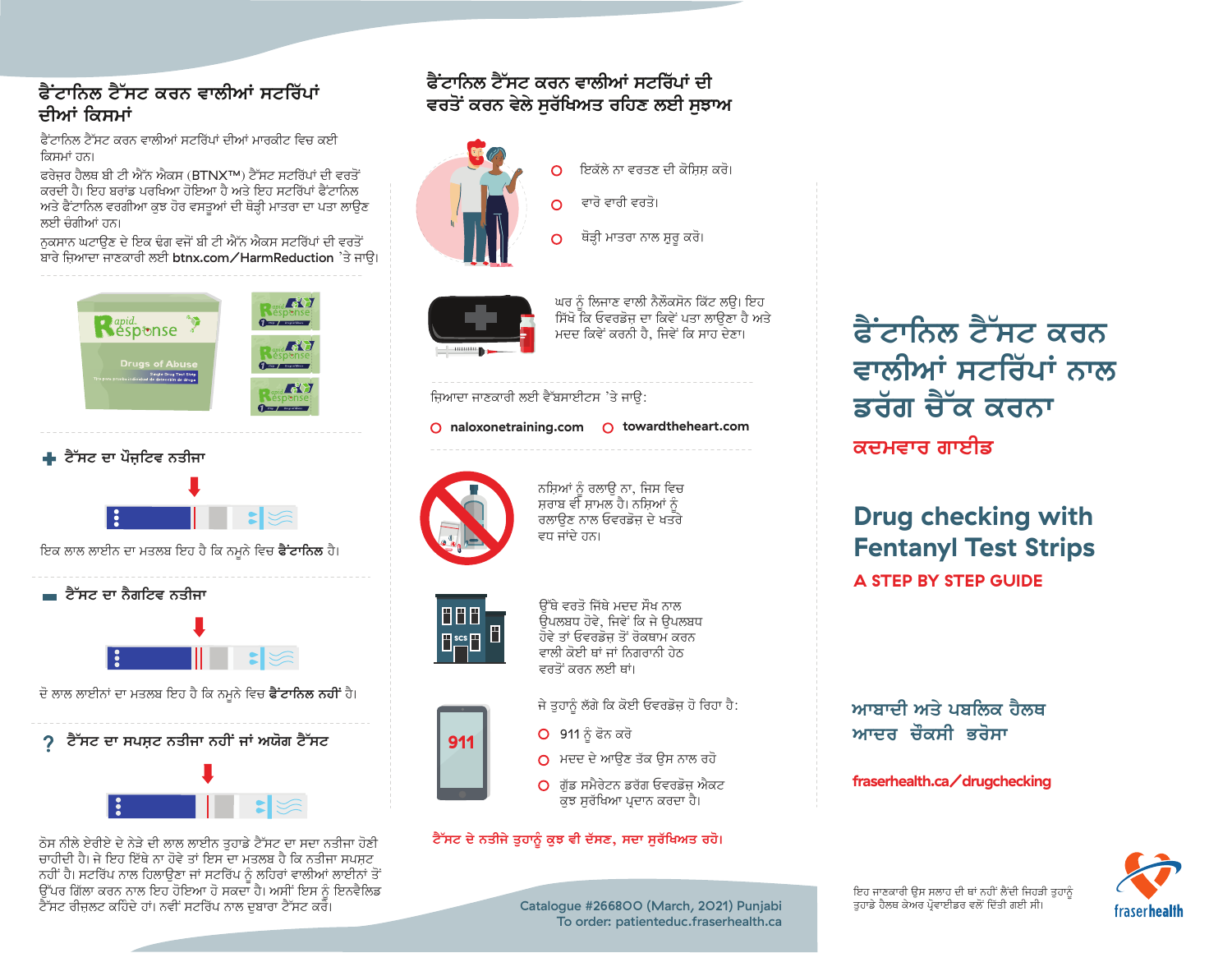## ਫੈਂਟਾਨਿਲ ਟੈੱਸਟ ਕਰਨ ਵਾਲੀਆਂ ਸਟਰਿੱਪਾਂ ਦੀਆਂ ਕਿਸਮਾਂ

ਫੈੱਟਾਨਿਲ ਟੈੱਸਟ ਕਰਨ ਵਾਲੀਆਂ ਸਟਰਿੱਪਾਂ ਦੀਆਂ ਮਾਰਕੀਟ ਵਿਚ ਕਈ ਕਿਸਮਾਂ ਹਨ।

ਫਰੇਜ਼ਰ ਹੈਲਥ ਸੀ ਟੀ ਐੱਨ ਐਕਸ (BTNX™) ਟੈੱਸਟ ਸਟਰਿੱਪਾਂ ਦੀ ਵਰਤੋਂ ਕਰਦੀ ਹੈ। ਇਹ ਬਰਾਂਡ ਪਰਖਿਆ ਹੋਇਆ ਹੈ ਅਤੇ ਇਹ ਸਟਰਿੱਪਾਂ ਫੈਂਟਾਨਿਲ ਅਤੇ ਫੈਂਟਾਨਿਲ ਵਰਗੀਆ ਕੁਝ ਹੋਰ ਵਸਤੁਆਂ ਦੀ ਥੋੜ੍ਹੀ ਮਾਤਰਾ ਦਾ ਪਤਾ ਲਾਉਣ ਲਈ ਚੈਗੀਆਂ ਹਨ।

ਨਕਸਾਨ ਘਟਾੳਣ ਦੇ ਇਕ ਢੰਗ ਵਜੋਂ ਬੀ ਟੀ ਐੱਨ ਐਕਸ ਸਟਰਿੱਪਾਂ ਦੀ ਵਰਤੋਂ ਬਾਰੇ ਜ਼ਿਆਦਾ ਜਾਣਕਾਰੀ ਲਈ btnx.com/HarmReduction 'ਤੇ ਜਾਉ।







ਇਕ ਲਾਲ ਲਾਈਨ ਦਾ ਮਤਲਬ ਇਹ ਹੈ ਕਿ ਨਮੂਨੇ ਵਿਚ **ਫੈਂਟਾਨਿਲ** ਹੈ।



ਦੋ ਲਾਲ ਲਾਈਨਾਂ ਦਾ ਮਤਲਬ ਇਹ ਹੈ ਕਿ ਨਮਨੇ ਵਿਚ **ਫੈਂਟਾਨਿਲ ਨਹੀਂ** ਹੈ।





ਠੋਸ ਨੀਲੇ ਏਰੀਏ ਦੇ ਨੇੜੇ ਦੀ ਲਾਲ ਲਾਈਨ ਤਹਾਡੇ ਟੈੱਸਟ ਦਾ ਸਦਾ ਨਤੀਜਾ ਹੋਣੀ ਚਾਹੀਦੀ ਹੈ। ਜੇ ਇਹ ਇੱਥੇ ਨਾ ਹੋਵੇ ਤਾਂ ਇਸ ਦਾ ਮਤਲਬ ਹੈ ਕਿ ਨਤੀਜਾ ਸਪਸਟ ਨਹੀਂ ਹੈ। ਸਟਰਿੱਪ ਨਾਲ ਹਿਲਾੳਣਾ ਜਾਂ ਸਟਰਿੱਪ ਨੂੰ ਲਹਿਰਾਂ ਵਾਲੀਆਂ ਲਾਈਨਾਂ ਤੋਂ ੱਕ ਕਾਂਗਰਸ ਦਾ ਸਾਹਿਬ ਸਾਹਿਬ ਹੋ ਸਕਦਾ ਹੈ। ਅਸੀਂ ਇਸ ਨੂੰ ਇਨਵੈਲਿਡ<br>ਉੱਪਰ ਗਿੱਲਾ ਕਰਨ ਨਾਲ ਇਹ ਹੋਇਆ ਹੋ ਸਕਦਾ ਹੈ। ਅਸੀਂ ਇਸ ਨੂੰ ਇਨਵੈਲਿਡ ਟੈੱਸਟ ਰੀਜਲਟ ਕਹਿੰਦੇ ਹਾਂ। ਨਵੀਂ ਸਟਰਿੱਪ ਨਾਲ ਦਬਾਰਾ ਟੈੱਸਟ ਕਰੋ।

## <u> ਫੈੱਟਾਨਿਲ ਟੈੱਸਟ ਕਰਨ ਵਾਲੀਆਂ ਸਟਰਿੱਪਾਂ ਦੀ</u> ਵਰਤੋਂ ਕਰਨ ਵੇਲੇ ਸਰੱਖਿਅਤ ਰਹਿਣ ਲਈ ਸਝਾਅ



ਇਕੱਲੇ ਨਾ ਵਰਤਣ ਦੀ ਕੋਸਿਸ ਕਰੋ।  $\circ$ ਵਾਰੋ ਵਾਰੀ ਵਰਤੋ।  $\Omega$ 

ਥੋੜੀ ਮਾਤਰਾ ਨਾਲ ਸ਼ਰ ਕਰੋ।  $\Omega$ 



ਘਰ ਨੂੰ ਲਿਜਾਣ ਵਾਲੀ ਨੈਲੌਕਸੋਨ ਕਿੱਟ ਲੳ। ਇਹ ਸਿੱਖੋ ਕਿ ਓਵਰਡੋਜ ਦਾ ਕਿਵੇਂ ਪਤਾ ਲਾੳਣਾ ਹੈ ਅਤੇ ਮਦਦ ਕਿਵੇਂ ਕਰਨੀ ਹੈ. ਜਿਵੇਂ ਕਿ ਸਾਹ ਦੇਣਾ।

#### ਜ਼ਿਆਦਾ ਜਾਣਕਾਰੀ ਲਈ ਵੈੱਬਸਾਈਟਸ 'ਤੇ ਜਾੳ:

#### O naloxonetraining.com O towardtheheart.com



ਨਸ਼ਿਆਂ ਨੂੰ ਰਲਾਉ ਨਾ, ਜਿਸ ਵਿਚ ਸਰਾਬ ਵੀ ਸ਼ਾਮਲ ਹੈ। ਨਸ਼ਿਆਂ ਨੂੰ ਰਲਾੳਣ ਨਾਲ ਓਵਰਡੋਜ ਦੇ ਖਤਰੇ ਵਧ ਜਾਂਦੇ ਹਨ।



911

ਉੱਥੇ ਵਰਤੋ ਜਿੱਥੇ ਮਦਦ ਸੌਖ ਨਾਲ ਓਪਲਬਧ ਹੋਵੇ, ਜਿਵੇਂ ਕਿ ਜੇ ਓਪਲਬਧ ਹੋਵੇ ਤਾਂ ਓਵਰਡੋਜ ਤੋਂ ਰੋਕਥਾਮ ਕਰਨ ਵਾਲੀ ਕੋਈ ਥਾਂ ਜਾਂ ਨਿਗਰਾਨੀ ਹੇਠ ਵਰਤੋਂ ਕਰਨ ਲਈ ਥਾਂ।

- ਜੇ ਤਹਾਨੂੰ ਲੱਗੇ ਕਿ ਕੋਈ ਓਵਰਡੋਜ਼ ਹੋ ਰਿਹਾ ਹੈ:
- O 911 ਨੂੰ ਫੋਨ ਕਰੋ
- O ਮਦਦ ਦੇ ਆਉਣ ਤੱਕ ਉਸ ਨਾਲ ਰਹੋ
- $\Omega$ ਂਗੱਡ ਸਮੈਰੇਟਨ ਡਰੱਗ ਓਵਰਡੋਜ ਐਕਟ ਕੁਝ ਸੁਰੱਖਿਆ ਪ੍ਰਦਾਨ ਕਰਦਾ ਹੈ।

#### ਟੈੱਸਟ ਦੇ ਨਤੀਜੇ ਤੁਹਾਨੂੰ ਕੁਝ ਵੀ ਦੱਸਣ, ਸਦਾ ਸੁਰੱਖਿਅਤ ਰਹੋ।

<u> ਫੈਂਟਾਨਿਲ ਟੈੱਸਟ ਕਰਨ</u> ਵਾਲੀਆਂ ਸਟਰਿੱਪਾਂ ਨਾਲ ਡਰੱਗ ਚੈੱਕ ਕਰਨਾ ਕਦਮਵਾਰ ਗਾਈਡ

**Drug checking with Fentanyl Test Strips A STEP BY STEP GUIDE** 

ਆਬਾਦੀ ਅਤੇ ਪਬਲਿਕ ਹੈਲਥ ਆਦਰ ਚੌਕਸੀ ਭਰੋਸਾ

#### fraserhealth.ca/drugchecking



Catalogue #266800 (March, 2021) Punjabi To order: patienteduc.fraserhealth.ca

ਇਹ ਜਾਣਕਾਰੀ ਉਸ ਸਲਾਹ ਦੀ ਥਾਂ ਨਹੀਂ ਲੈਂਦੀ ਜਿਹੜੀ ਤੁਹਾਨੂੰ ਤਹਾਡੇ ਹੈਲਥ ਕੇਅਰ ਪੋਵਾਈਡਰ ਵਲੋਂ ਦਿੱਤੀ ਗਈ ਸੀ।